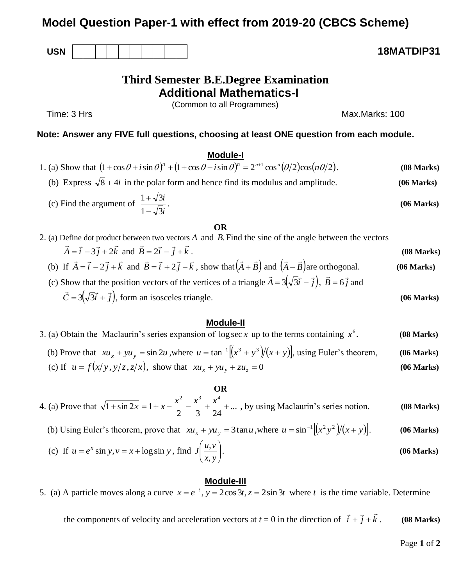# **Model Question Paper-1 with effect from 2019-20 (CBCS Scheme)**

**USN 18MATDIP31**

# **Third Semester B.E.Degree Examination Additional Mathematics-I**

(Common to all Programmes)

Time: 3 Hrs Max.Marks: 100

# **Note: Answer any FIVE full questions, choosing at least ONE question from each module.**

# **Module-I**

| 1. (a) Show that $(1 + \cos \theta + i \sin \theta)^n + (1 + \cos \theta - i \sin \theta)^n = 2^{n+1} \cos^n(\theta/2) \cos(n\theta/2)$ . |  | (08 Marks) |
|-------------------------------------------------------------------------------------------------------------------------------------------|--|------------|
|                                                                                                                                           |  |            |

(b) Express  $\sqrt{8} + 4i$  in the polar form and hence find its modulus and amplitude. **(06 Marks)** 

(c) Find the argument of 
$$
\frac{1+\sqrt{3}i}{1-\sqrt{3}i}
$$
. (06 Marks)

## **OR**

| 2. (a) Define dot product between two vectors A and B. Find the sine of the angle between the vectors                                                                    |            |
|--------------------------------------------------------------------------------------------------------------------------------------------------------------------------|------------|
| $\vec{A} = \vec{i} - 3\vec{j} + 2\vec{k}$ and $\vec{B} = 2\vec{i} - \vec{j} + \vec{k}$ .                                                                                 | (08 Marks) |
| (b) If $\vec{A} = \vec{i} - 2\vec{j} + \vec{k}$ and $\vec{B} = \vec{i} + 2\vec{j} - \vec{k}$ , show that $(\vec{A} + \vec{B})$ and $(\vec{A} - \vec{B})$ are orthogonal. | (06 Marks) |
| (c) Show that the position vectors of the vertices of a triangle $\vec{A} = 3(\sqrt{3}\vec{i} - \vec{j})$ , $\vec{B} = 6\vec{j}$ and                                     |            |

 $\vec{C} = 3(\sqrt{3}\vec{i} + \vec{j}),$  $\vec{z} = \sqrt{5}$  $=3(\sqrt{3}\vec{i} + \vec{j})$ , form an isosceles triangle. **(06 Marks)** 

## **Module-II**

3. (a) Obtain the Maclaurin's series expansion of  $\log \sec x$  up to the terms containing  $x^6$ . *x* **(08 Marks)** (b) Prove that  $xu_x + yu_y = \sin 2u$ , where  $u = \tan^{-1}[(x^3 + y^3)/(x + y)]$ , using Euler's theorem, (06 Marks) **(06 Marks)** (c) If  $u = f(x/y, y/z, z/x)$ , show that  $xu_x + yu_y + zu_z = 0$ 

## **OR**

4. (a) Prove that  $\sqrt{1 + \sin 2x} = 1 + x - \frac{x}{2} - \frac{x}{3} + \frac{x}{3} + ...$ 2 3 24  $1 + \sin 2x = 1$ 2  $x^3$   $x^4$  $\frac{x^2}{x^3} + \sin 2x = 1 + x - \frac{x^2}{x^2} - \frac{x^3}{x^3} + \frac{x^4}{x^4} + \dots$ , by using Maclaurin's series notion. **(08 Marks)** 

(b) Using Euler's theorem, prove that 
$$
xu_x + yu_y = 3\tan u
$$
, where  $u = \sin^{-1}[(x^2y^2)/(x+y)]$ . (06 Marks)

(c) If 
$$
u = e^x \sin y
$$
,  $v = x + \log \sin y$ , find  $J\left(\frac{u, v}{x, y}\right)$ . (06 Marks)

## **Module-III**

5. (a) A particle moves along a curve  $x = e^{-t}$ ,  $y = 2\cos 3t$ ,  $z = 2\sin 3t$  where *t* is the time variable. Determine

the components of velocity and acceleration vectors at  $t = 0$  in the direction of  $\vec{i} + \vec{j} + \vec{k}$ .<br><del>기</del>부 기 . **(08 Marks)**

Page **1** of **2**